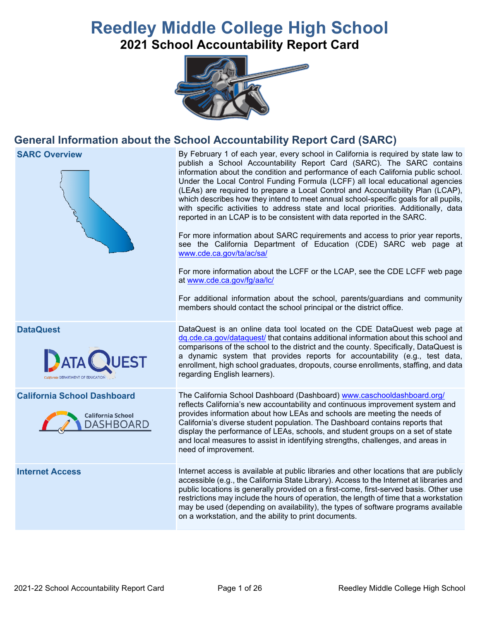# **Reedley Middle College High School 2021 School Accountability Report Card**



## **General Information about the School Accountability Report Card (SARC)**

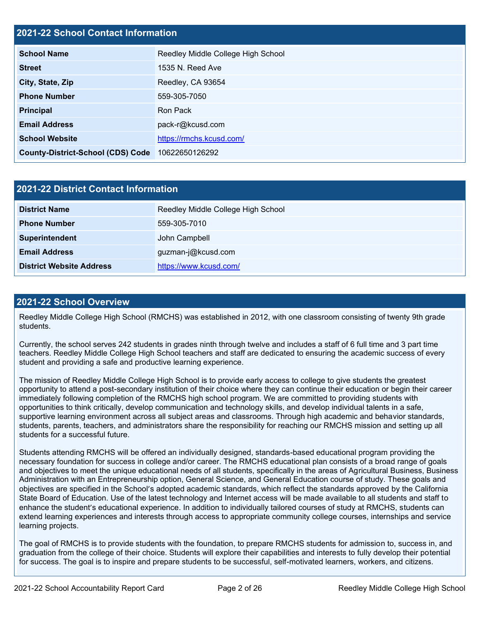### **2021-22 School Contact Information**

| <b>School Name</b>                       | Reedley Middle College High School |
|------------------------------------------|------------------------------------|
| <b>Street</b>                            | 1535 N. Reed Ave                   |
| City, State, Zip                         | Reedley, CA 93654                  |
| <b>Phone Number</b>                      | 559-305-7050                       |
| <b>Principal</b>                         | Ron Pack                           |
| <b>Email Address</b>                     | pack-r@kcusd.com                   |
| <b>School Website</b>                    | https://rmchs.kcusd.com/           |
| <b>County-District-School (CDS) Code</b> | 10622650126292                     |

| 2021-22 District Contact Information |                                    |  |  |
|--------------------------------------|------------------------------------|--|--|
| <b>District Name</b>                 | Reedley Middle College High School |  |  |
| <b>Phone Number</b>                  | 559-305-7010                       |  |  |
| Superintendent                       | John Campbell                      |  |  |
| <b>Email Address</b>                 | guzman-j@kcusd.com                 |  |  |
| <b>District Website Address</b>      | https://www.kcusd.com/             |  |  |

### **2021-22 School Overview**

Reedley Middle College High School (RMCHS) was established in 2012, with one classroom consisting of twenty 9th grade students.

Currently, the school serves 242 students in grades ninth through twelve and includes a staff of 6 full time and 3 part time teachers. Reedley Middle College High School teachers and staff are dedicated to ensuring the academic success of every student and providing a safe and productive learning experience.

The mission of Reedley Middle College High School is to provide early access to college to give students the greatest opportunity to attend a post-secondary institution of their choice where they can continue their education or begin their career immediately following completion of the RMCHS high school program. We are committed to providing students with opportunities to think critically, develop communication and technology skills, and develop individual talents in a safe, supportive learning environment across all subject areas and classrooms. Through high academic and behavior standards, students, parents, teachers, and administrators share the responsibility for reaching our RMCHS mission and setting up all students for a successful future.

Students attending RMCHS will be offered an individually designed, standards-based educational program providing the necessary foundation for success in college and/or career. The RMCHS educational plan consists of a broad range of goals and objectives to meet the unique educational needs of all students, specifically in the areas of Agricultural Business, Business Administration with an Entrepreneurship option, General Science, and General Education course of study. These goals and objectives are specified in the School's adopted academic standards, which reflect the standards approved by the California State Board of Education. Use of the latest technology and Internet access will be made available to all students and staff to enhance the student's educational experience. In addition to individually tailored courses of study at RMCHS, students can extend learning experiences and interests through access to appropriate community college courses, internships and service learning projects.

The goal of RMCHS is to provide students with the foundation, to prepare RMCHS students for admission to, success in, and graduation from the college of their choice. Students will explore their capabilities and interests to fully develop their potential for success. The goal is to inspire and prepare students to be successful, self-motivated learners, workers, and citizens.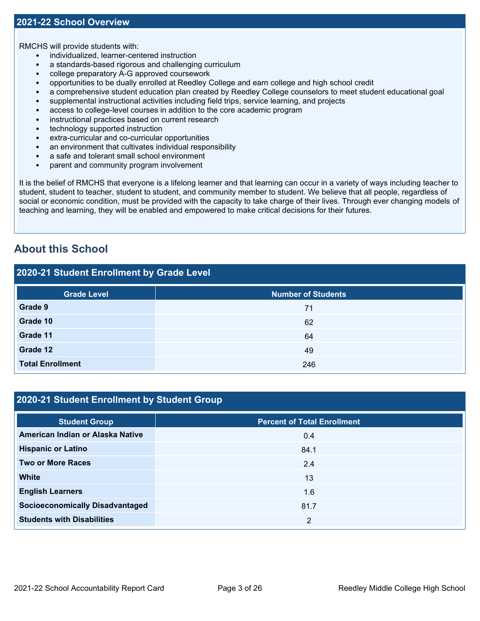RMCHS will provide students with:

- individualized, learner-centered instruction
- a standards-based rigorous and challenging curriculum
- college preparatory A-G approved coursework
- opportunities to be dually enrolled at Reedley College and earn college and high school credit
- a comprehensive student education plan created by Reedley College counselors to meet student educational goal
- supplemental instructional activities including field trips, service learning, and projects
- access to college-level courses in addition to the core academic program
- instructional practices based on current research
- technology supported instruction
- extra-curricular and co-curricular opportunities
- an environment that cultivates individual responsibility
- a safe and tolerant small school environment
- parent and community program involvement

It is the belief of RMCHS that everyone is a lifelong learner and that learning can occur in a variety of ways including teacher to student, student to teacher, student to student, and community member to student. We believe that all people, regardless of social or economic condition, must be provided with the capacity to take charge of their lives. Through ever changing models of teaching and learning, they will be enabled and empowered to make critical decisions for their futures.

## **About this School**

### **2020-21 Student Enrollment by Grade Level**

| <b>Grade Level</b>      | <b>Number of Students</b> |
|-------------------------|---------------------------|
| Grade 9                 | 71                        |
| Grade 10                | 62                        |
| Grade 11                | 64                        |
| Grade 12                | 49                        |
| <b>Total Enrollment</b> | 246                       |

### **2020-21 Student Enrollment by Student Group**

| <b>Student Group</b>                   | <b>Percent of Total Enrollment</b> |  |  |  |
|----------------------------------------|------------------------------------|--|--|--|
| American Indian or Alaska Native       | 0.4                                |  |  |  |
| <b>Hispanic or Latino</b>              | 84.1                               |  |  |  |
| <b>Two or More Races</b>               | 2.4                                |  |  |  |
| <b>White</b>                           | 13                                 |  |  |  |
| <b>English Learners</b>                | 1.6                                |  |  |  |
| <b>Socioeconomically Disadvantaged</b> | 81.7                               |  |  |  |
| <b>Students with Disabilities</b>      | 2                                  |  |  |  |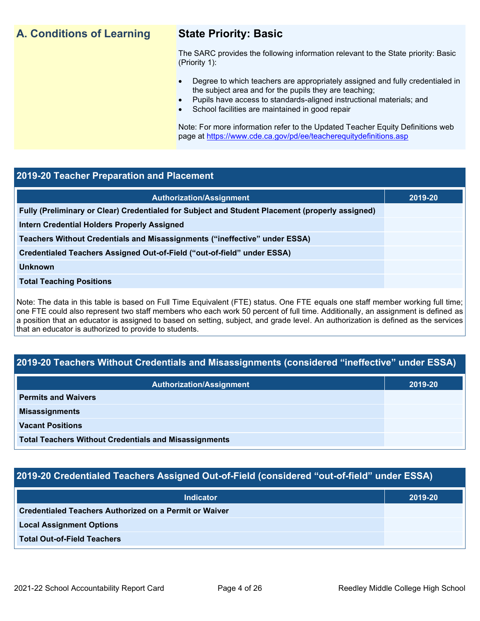## **A. Conditions of Learning State Priority: Basic**

The SARC provides the following information relevant to the State priority: Basic (Priority 1):

- Degree to which teachers are appropriately assigned and fully credentialed in the subject area and for the pupils they are teaching;
	- Pupils have access to standards-aligned instructional materials; and
- School facilities are maintained in good repair

Note: For more information refer to the Updated Teacher Equity Definitions web page at<https://www.cde.ca.gov/pd/ee/teacherequitydefinitions.asp>

### **2019-20 Teacher Preparation and Placement**

| <b>Authorization/Assignment</b>                                                                 | 2019-20 |
|-------------------------------------------------------------------------------------------------|---------|
| Fully (Preliminary or Clear) Credentialed for Subject and Student Placement (properly assigned) |         |
| <b>Intern Credential Holders Properly Assigned</b>                                              |         |
| Teachers Without Credentials and Misassignments ("ineffective" under ESSA)                      |         |
| Credentialed Teachers Assigned Out-of-Field ("out-of-field" under ESSA)                         |         |
| <b>Unknown</b>                                                                                  |         |
| <b>Total Teaching Positions</b>                                                                 |         |
|                                                                                                 |         |

Note: The data in this table is based on Full Time Equivalent (FTE) status. One FTE equals one staff member working full time; one FTE could also represent two staff members who each work 50 percent of full time. Additionally, an assignment is defined as a position that an educator is assigned to based on setting, subject, and grade level. An authorization is defined as the services that an educator is authorized to provide to students.

## **2019-20 Teachers Without Credentials and Misassignments (considered "ineffective" under ESSA)**

| <b>Authorization/Assignment</b>                              | 2019-20 |
|--------------------------------------------------------------|---------|
| <b>Permits and Waivers</b>                                   |         |
| <b>Misassignments</b>                                        |         |
| <b>Vacant Positions</b>                                      |         |
| <b>Total Teachers Without Credentials and Misassignments</b> |         |

## **2019-20 Credentialed Teachers Assigned Out-of-Field (considered "out-of-field" under ESSA)**

| <b>Indicator</b>                                              | 2019-20 |
|---------------------------------------------------------------|---------|
| <b>Credentialed Teachers Authorized on a Permit or Waiver</b> |         |
| <b>Local Assignment Options</b>                               |         |
| <b>Total Out-of-Field Teachers</b>                            |         |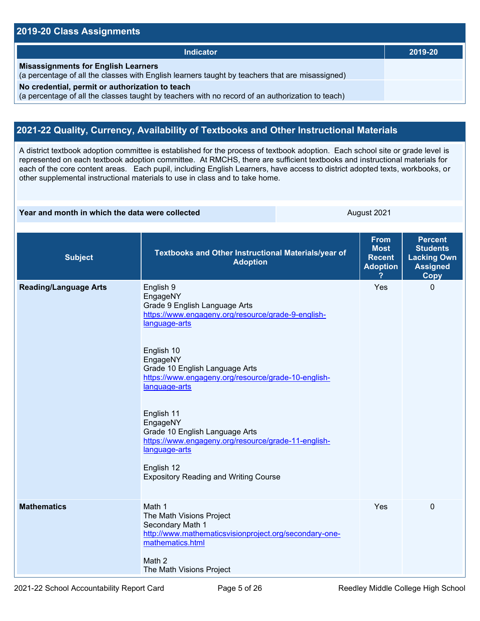### **2019-20 Class Assignments**

| <b>Indicator</b>                                                                                                                                    | 2019-20 |
|-----------------------------------------------------------------------------------------------------------------------------------------------------|---------|
| <b>Misassignments for English Learners</b><br>(a percentage of all the classes with English learners taught by teachers that are misassigned)       |         |
| No credential, permit or authorization to teach<br>(a percentage of all the classes taught by teachers with no record of an authorization to teach) |         |

## **2021-22 Quality, Currency, Availability of Textbooks and Other Instructional Materials**

A district textbook adoption committee is established for the process of textbook adoption. Each school site or grade level is represented on each textbook adoption committee. At RMCHS, there are sufficient textbooks and instructional materials for each of the core content areas. Each pupil, including English Learners, have access to district adopted texts, workbooks, or other supplemental instructional materials to use in class and to take home.

### **Year and month in which the data were collected** August 2021

| <b>Subject</b>               | Textbooks and Other Instructional Materials/year of<br><b>Adoption</b>                                                               | <b>From</b><br><b>Most</b><br><b>Recent</b><br><b>Adoption</b> | <b>Percent</b><br><b>Students</b><br><b>Lacking Own</b><br><b>Assigned</b><br><b>Copy</b> |
|------------------------------|--------------------------------------------------------------------------------------------------------------------------------------|----------------------------------------------------------------|-------------------------------------------------------------------------------------------|
| <b>Reading/Language Arts</b> | English 9<br>EngageNY<br>Grade 9 English Language Arts<br>https://www.engageny.org/resource/grade-9-english-<br>language-arts        | Yes                                                            | $\mathbf{0}$                                                                              |
|                              | English 10<br>EngageNY<br>Grade 10 English Language Arts<br>https://www.engageny.org/resource/grade-10-english-<br>language-arts     |                                                                |                                                                                           |
|                              | English 11<br>EngageNY<br>Grade 10 English Language Arts<br>https://www.engageny.org/resource/grade-11-english-<br>language-arts     |                                                                |                                                                                           |
|                              | English 12<br><b>Expository Reading and Writing Course</b>                                                                           |                                                                |                                                                                           |
| <b>Mathematics</b>           | Math 1<br>The Math Visions Project<br>Secondary Math 1<br>http://www.mathematicsvisionproject.org/secondary-one-<br>mathematics.html | Yes                                                            | $\mathbf 0$                                                                               |
|                              | Math 2<br>The Math Visions Project                                                                                                   |                                                                |                                                                                           |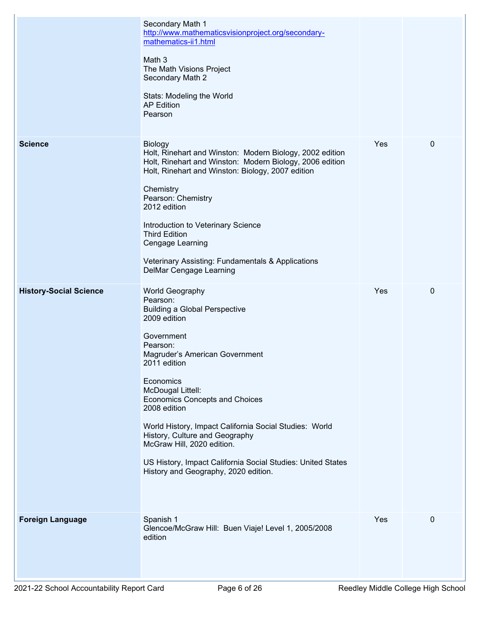|                               | Secondary Math 1<br>http://www.mathematicsvisionproject.org/secondary-<br>mathematics-ii1.html<br>Math 3<br>The Math Visions Project<br>Secondary Math 2<br>Stats: Modeling the World<br><b>AP Edition</b><br>Pearson                                                                                                                                                                                                                                                                       |     |             |
|-------------------------------|---------------------------------------------------------------------------------------------------------------------------------------------------------------------------------------------------------------------------------------------------------------------------------------------------------------------------------------------------------------------------------------------------------------------------------------------------------------------------------------------|-----|-------------|
| <b>Science</b>                | <b>Biology</b><br>Holt, Rinehart and Winston: Modern Biology, 2002 edition<br>Holt, Rinehart and Winston: Modern Biology, 2006 edition<br>Holt, Rinehart and Winston: Biology, 2007 edition<br>Chemistry<br>Pearson: Chemistry<br>2012 edition<br>Introduction to Veterinary Science<br><b>Third Edition</b><br>Cengage Learning<br>Veterinary Assisting: Fundamentals & Applications<br>DelMar Cengage Learning                                                                            | Yes | $\pmb{0}$   |
| <b>History-Social Science</b> | World Geography<br>Pearson:<br><b>Building a Global Perspective</b><br>2009 edition<br>Government<br>Pearson:<br>Magruder's American Government<br>2011 edition<br>Economics<br>McDougal Littell:<br><b>Economics Concepts and Choices</b><br>2008 edition<br>World History, Impact California Social Studies: World<br>History, Culture and Geography<br>McGraw Hill, 2020 edition.<br>US History, Impact California Social Studies: United States<br>History and Geography, 2020 edition. | Yes | $\mathbf 0$ |
| <b>Foreign Language</b>       | Spanish 1<br>Glencoe/McGraw Hill: Buen Viaje! Level 1, 2005/2008<br>edition                                                                                                                                                                                                                                                                                                                                                                                                                 | Yes | $\mathbf 0$ |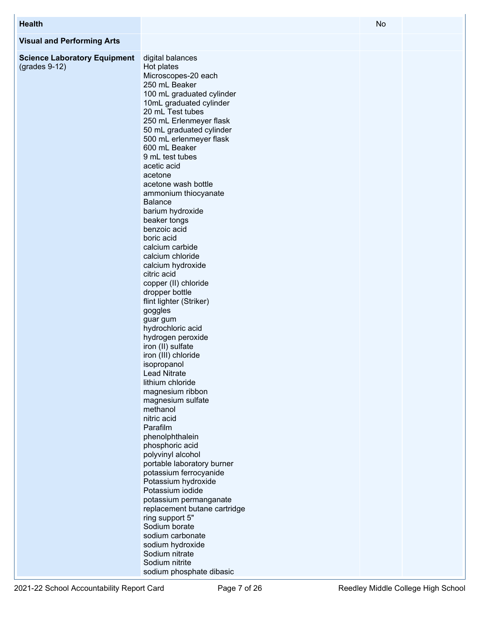| <b>Visual and Performing Arts</b><br><b>Science Laboratory Equipment</b><br>digital balances<br>$(grades 9-12)$<br>Hot plates<br>Microscopes-20 each<br>250 mL Beaker<br>100 mL graduated cylinder<br>10mL graduated cylinder<br>20 mL Test tubes<br>250 mL Erlenmeyer flask<br>50 mL graduated cylinder<br>500 mL erlenmeyer flask<br>600 mL Beaker<br>9 mL test tubes<br>acetic acid<br>acetone<br>acetone wash bottle<br>ammonium thiocyanate<br><b>Balance</b><br>barium hydroxide<br>beaker tongs<br>benzoic acid<br>boric acid<br>calcium carbide<br>calcium chloride<br>calcium hydroxide<br>citric acid |
|-----------------------------------------------------------------------------------------------------------------------------------------------------------------------------------------------------------------------------------------------------------------------------------------------------------------------------------------------------------------------------------------------------------------------------------------------------------------------------------------------------------------------------------------------------------------------------------------------------------------|
|                                                                                                                                                                                                                                                                                                                                                                                                                                                                                                                                                                                                                 |
| copper (II) chloride<br>dropper bottle<br>flint lighter (Striker)<br>goggles<br>guar gum<br>hydrochloric acid<br>hydrogen peroxide<br>iron (II) sulfate<br>iron (III) chloride<br>isopropanol<br><b>Lead Nitrate</b><br>lithium chloride<br>magnesium ribbon<br>magnesium sulfate<br>methanol<br>nitric acid<br>Parafilm<br>phenolphthalein<br>phosphoric acid<br>polyvinyl alcohol<br>portable laboratory burner<br>potassium ferrocyanide<br>Potassium hydroxide<br>Potassium iodide<br>potassium permanganate<br>replacement butane cartridge<br>ring support 5"<br>Sodium borate                            |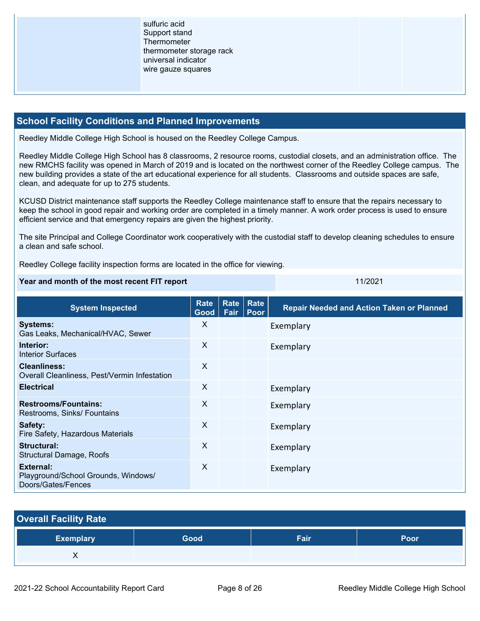### **School Facility Conditions and Planned Improvements**

Reedley Middle College High School is housed on the Reedley College Campus.

Reedley Middle College High School has 8 classrooms, 2 resource rooms, custodial closets, and an administration office. The new RMCHS facility was opened in March of 2019 and is located on the northwest corner of the Reedley College campus. The new building provides a state of the art educational experience for all students. Classrooms and outside spaces are safe, clean, and adequate for up to 275 students.

KCUSD District maintenance staff supports the Reedley College maintenance staff to ensure that the repairs necessary to keep the school in good repair and working order are completed in a timely manner. A work order process is used to ensure efficient service and that emergency repairs are given the highest priority.

The site Principal and College Coordinator work cooperatively with the custodial staff to develop cleaning schedules to ensure a clean and safe school.

Reedley College facility inspection forms are located in the office for viewing.

### **Year and month of the most recent FIT report** 11/2021

**System Inspected Rate Good Rate Fair Rate Poor Repair Needed and Action Taken or Planned Systems:** Gas Leaks, Mechanical/HVAC, Sewer X Exemplary **Interior:** Interior Surfaces X Exemplary **Cleanliness:** Overall Cleanliness, Pest/Vermin Infestation X **Electrical** Exemplary **Restrooms/Fountains:** Restrooms, Sinks/ Fountains X Exemplary **Safety:** Fire Safety, Hazardous Materials X Exemplary **Structural:** Structural Damage, Roofs X Exemplary **External:** Playground/School Grounds, Windows/ Doors/Gates/Fences X Exemplary

| <b>Overall Facility Rate</b> |      |      |      |
|------------------------------|------|------|------|
| <b>Exemplary</b>             | Good | Fair | Poor |
|                              |      |      |      |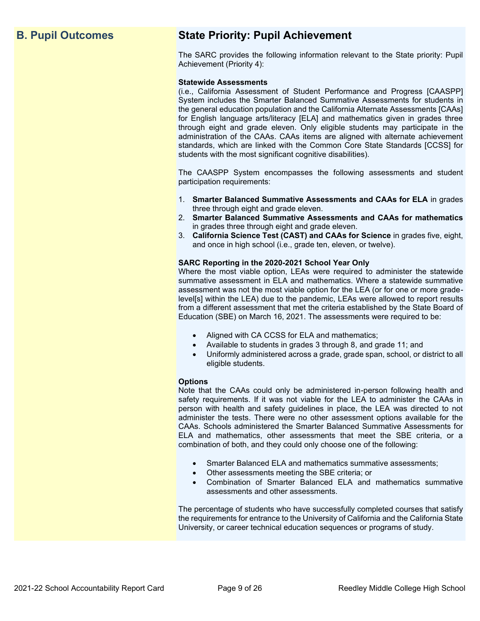## **B. Pupil Outcomes State Priority: Pupil Achievement**

The SARC provides the following information relevant to the State priority: Pupil Achievement (Priority 4):

### **Statewide Assessments**

(i.e., California Assessment of Student Performance and Progress [CAASPP] System includes the Smarter Balanced Summative Assessments for students in the general education population and the California Alternate Assessments [CAAs] for English language arts/literacy [ELA] and mathematics given in grades three through eight and grade eleven. Only eligible students may participate in the administration of the CAAs. CAAs items are aligned with alternate achievement standards, which are linked with the Common Core State Standards [CCSS] for students with the most significant cognitive disabilities).

The CAASPP System encompasses the following assessments and student participation requirements:

- 1. **Smarter Balanced Summative Assessments and CAAs for ELA** in grades three through eight and grade eleven.
- 2. **Smarter Balanced Summative Assessments and CAAs for mathematics** in grades three through eight and grade eleven.
- 3. **California Science Test (CAST) and CAAs for Science** in grades five, eight, and once in high school (i.e., grade ten, eleven, or twelve).

### **SARC Reporting in the 2020-2021 School Year Only**

Where the most viable option, LEAs were required to administer the statewide summative assessment in ELA and mathematics. Where a statewide summative assessment was not the most viable option for the LEA (or for one or more gradelevel[s] within the LEA) due to the pandemic, LEAs were allowed to report results from a different assessment that met the criteria established by the State Board of Education (SBE) on March 16, 2021. The assessments were required to be:

- Aligned with CA CCSS for ELA and mathematics;
- Available to students in grades 3 through 8, and grade 11; and
- Uniformly administered across a grade, grade span, school, or district to all eligible students.

### **Options**

Note that the CAAs could only be administered in-person following health and safety requirements. If it was not viable for the LEA to administer the CAAs in person with health and safety guidelines in place, the LEA was directed to not administer the tests. There were no other assessment options available for the CAAs. Schools administered the Smarter Balanced Summative Assessments for ELA and mathematics, other assessments that meet the SBE criteria, or a combination of both, and they could only choose one of the following:

- Smarter Balanced ELA and mathematics summative assessments;
- Other assessments meeting the SBE criteria; or
- Combination of Smarter Balanced ELA and mathematics summative assessments and other assessments.

The percentage of students who have successfully completed courses that satisfy the requirements for entrance to the University of California and the California State University, or career technical education sequences or programs of study.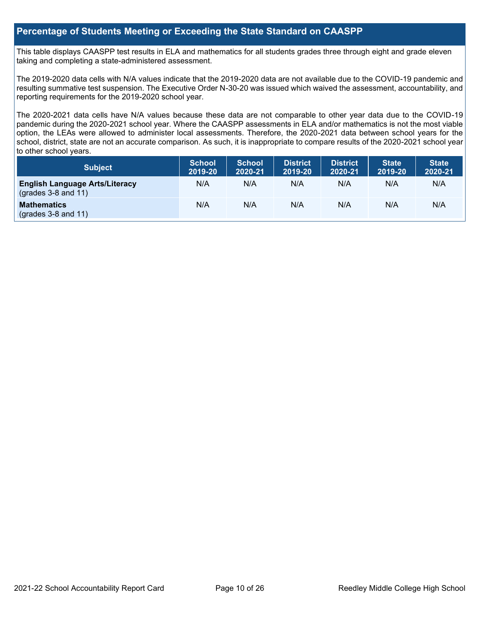### **Percentage of Students Meeting or Exceeding the State Standard on CAASPP**

This table displays CAASPP test results in ELA and mathematics for all students grades three through eight and grade eleven taking and completing a state-administered assessment.

The 2019-2020 data cells with N/A values indicate that the 2019-2020 data are not available due to the COVID-19 pandemic and resulting summative test suspension. The Executive Order N-30-20 was issued which waived the assessment, accountability, and reporting requirements for the 2019-2020 school year.

The 2020-2021 data cells have N/A values because these data are not comparable to other year data due to the COVID-19 pandemic during the 2020-2021 school year. Where the CAASPP assessments in ELA and/or mathematics is not the most viable option, the LEAs were allowed to administer local assessments. Therefore, the 2020-2021 data between school years for the school, district, state are not an accurate comparison. As such, it is inappropriate to compare results of the 2020-2021 school year to other school years.

| Subject                                                              | <b>School</b><br>2019-20 | <b>School</b><br>2020-21 | <b>District</b><br>2019-20 | <b>District</b><br>2020-21 | <b>State</b><br>2019-20 | <b>State</b><br>2020-21 |
|----------------------------------------------------------------------|--------------------------|--------------------------|----------------------------|----------------------------|-------------------------|-------------------------|
| <b>English Language Arts/Literacy</b><br>$\left($ grades 3-8 and 11) | N/A                      | N/A                      | N/A                        | N/A                        | N/A                     | N/A                     |
| <b>Mathematics</b><br>$(grades 3-8 and 11)$                          | N/A                      | N/A                      | N/A                        | N/A                        | N/A                     | N/A                     |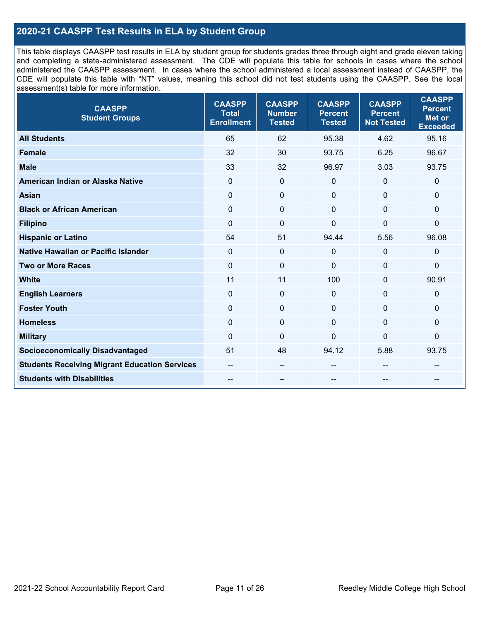## **2020-21 CAASPP Test Results in ELA by Student Group**

This table displays CAASPP test results in ELA by student group for students grades three through eight and grade eleven taking and completing a state-administered assessment. The CDE will populate this table for schools in cases where the school administered the CAASPP assessment. In cases where the school administered a local assessment instead of CAASPP, the CDE will populate this table with "NT" values, meaning this school did not test students using the CAASPP. See the local assessment(s) table for more information.

| <b>CAASPP</b><br><b>Student Groups</b>               | <b>CAASPP</b><br><b>Total</b><br><b>Enrollment</b> | <b>CAASPP</b><br><b>Number</b><br><b>Tested</b> | <b>CAASPP</b><br><b>Percent</b><br><b>Tested</b> | <b>CAASPP</b><br><b>Percent</b><br><b>Not Tested</b> | <b>CAASPP</b><br><b>Percent</b><br><b>Met or</b><br><b>Exceeded</b> |
|------------------------------------------------------|----------------------------------------------------|-------------------------------------------------|--------------------------------------------------|------------------------------------------------------|---------------------------------------------------------------------|
| <b>All Students</b>                                  | 65                                                 | 62                                              | 95.38                                            | 4.62                                                 | 95.16                                                               |
| <b>Female</b>                                        | 32                                                 | 30                                              | 93.75                                            | 6.25                                                 | 96.67                                                               |
| <b>Male</b>                                          | 33                                                 | 32                                              | 96.97                                            | 3.03                                                 | 93.75                                                               |
| American Indian or Alaska Native                     | $\mathbf 0$                                        | $\pmb{0}$                                       | 0                                                | $\overline{0}$                                       | 0                                                                   |
| <b>Asian</b>                                         | $\mathbf 0$                                        | $\pmb{0}$                                       | $\mathbf{0}$                                     | $\Omega$                                             | 0                                                                   |
| <b>Black or African American</b>                     | $\mathbf{0}$                                       | $\mathbf 0$                                     | $\mathbf{0}$                                     | $\Omega$                                             | 0                                                                   |
| <b>Filipino</b>                                      | $\mathbf 0$                                        | $\mathbf 0$                                     | $\mathbf 0$                                      | $\overline{0}$                                       | $\mathbf 0$                                                         |
| <b>Hispanic or Latino</b>                            | 54                                                 | 51                                              | 94.44                                            | 5.56                                                 | 96.08                                                               |
| <b>Native Hawaiian or Pacific Islander</b>           | $\Omega$                                           | $\boldsymbol{0}$                                | 0                                                | $\mathbf 0$                                          | 0                                                                   |
| <b>Two or More Races</b>                             | $\overline{0}$                                     | $\pmb{0}$                                       | $\mathbf{0}$                                     | $\mathbf 0$                                          | $\pmb{0}$                                                           |
| <b>White</b>                                         | 11                                                 | 11                                              | 100                                              | $\Omega$                                             | 90.91                                                               |
| <b>English Learners</b>                              | $\mathbf 0$                                        | $\pmb{0}$                                       | $\mathbf{0}$                                     | $\mathbf 0$                                          | 0                                                                   |
| <b>Foster Youth</b>                                  | $\Omega$                                           | $\mathbf 0$                                     | $\mathbf{0}$                                     | $\Omega$                                             | 0                                                                   |
| <b>Homeless</b>                                      | 0                                                  | $\mathbf 0$                                     | $\mathbf 0$                                      | $\Omega$                                             | 0                                                                   |
| <b>Military</b>                                      | $\mathbf 0$                                        | $\pmb{0}$                                       | 0                                                | 0                                                    | $\pmb{0}$                                                           |
| <b>Socioeconomically Disadvantaged</b>               | 51                                                 | 48                                              | 94.12                                            | 5.88                                                 | 93.75                                                               |
| <b>Students Receiving Migrant Education Services</b> |                                                    | --                                              |                                                  |                                                      |                                                                     |
| <b>Students with Disabilities</b>                    | --                                                 | --                                              | --                                               | --                                                   | --                                                                  |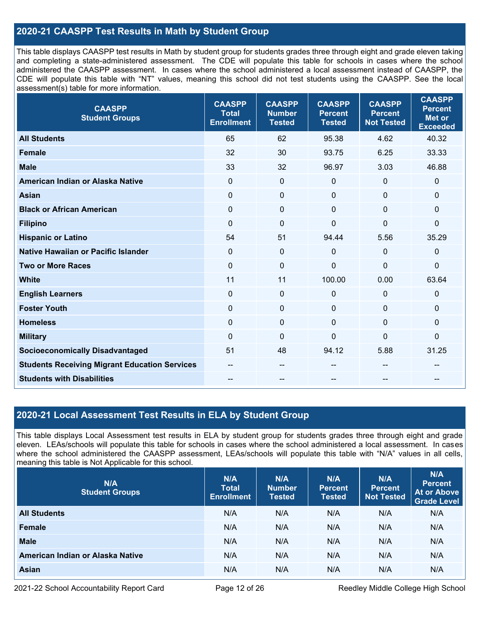## **2020-21 CAASPP Test Results in Math by Student Group**

This table displays CAASPP test results in Math by student group for students grades three through eight and grade eleven taking and completing a state-administered assessment. The CDE will populate this table for schools in cases where the school administered the CAASPP assessment. In cases where the school administered a local assessment instead of CAASPP, the CDE will populate this table with "NT" values, meaning this school did not test students using the CAASPP. See the local assessment(s) table for more information.

| <b>CAASPP</b><br><b>Student Groups</b>               | <b>CAASPP</b><br><b>Total</b><br><b>Enrollment</b> | <b>CAASPP</b><br><b>Number</b><br><b>Tested</b> | <b>CAASPP</b><br><b>Percent</b><br><b>Tested</b> | <b>CAASPP</b><br><b>Percent</b><br><b>Not Tested</b> | <b>CAASPP</b><br><b>Percent</b><br><b>Met or</b><br><b>Exceeded</b> |
|------------------------------------------------------|----------------------------------------------------|-------------------------------------------------|--------------------------------------------------|------------------------------------------------------|---------------------------------------------------------------------|
| <b>All Students</b>                                  | 65                                                 | 62                                              | 95.38                                            | 4.62                                                 | 40.32                                                               |
| Female                                               | 32                                                 | 30                                              | 93.75                                            | 6.25                                                 | 33.33                                                               |
| <b>Male</b>                                          | 33                                                 | 32                                              | 96.97                                            | 3.03                                                 | 46.88                                                               |
| American Indian or Alaska Native                     | $\mathbf 0$                                        | $\mathbf 0$                                     | $\mathbf 0$                                      | 0                                                    | $\mathbf 0$                                                         |
| <b>Asian</b>                                         | $\mathbf 0$                                        | $\pmb{0}$                                       | $\mathbf 0$                                      | 0                                                    | $\mathbf 0$                                                         |
| <b>Black or African American</b>                     | $\mathbf{0}$                                       | $\mathbf 0$                                     | $\Omega$                                         | $\Omega$                                             | $\mathbf 0$                                                         |
| <b>Filipino</b>                                      | $\Omega$                                           | $\mathbf 0$                                     | $\mathbf{0}$                                     | $\Omega$                                             | $\mathbf 0$                                                         |
| <b>Hispanic or Latino</b>                            | 54                                                 | 51                                              | 94.44                                            | 5.56                                                 | 35.29                                                               |
| <b>Native Hawaiian or Pacific Islander</b>           | $\mathbf{0}$                                       | $\pmb{0}$                                       | $\mathbf 0$                                      | $\Omega$                                             | $\pmb{0}$                                                           |
| <b>Two or More Races</b>                             | $\mathbf 0$                                        | $\pmb{0}$                                       | 0                                                | 0                                                    | $\pmb{0}$                                                           |
| <b>White</b>                                         | 11                                                 | 11                                              | 100.00                                           | 0.00                                                 | 63.64                                                               |
| <b>English Learners</b>                              | $\mathbf{0}$                                       | $\mathbf 0$                                     | $\mathbf 0$                                      | 0                                                    | $\mathbf 0$                                                         |
| <b>Foster Youth</b>                                  | $\mathbf 0$                                        | $\mathbf 0$                                     | $\mathbf 0$                                      | 0                                                    | $\mathbf 0$                                                         |
| <b>Homeless</b>                                      | $\mathbf{0}$                                       | $\pmb{0}$                                       | $\mathbf 0$                                      | $\Omega$                                             | $\mathbf 0$                                                         |
| <b>Military</b>                                      | $\mathbf 0$                                        | $\pmb{0}$                                       | 0                                                | $\mathbf{0}$                                         | $\pmb{0}$                                                           |
| <b>Socioeconomically Disadvantaged</b>               | 51                                                 | 48                                              | 94.12                                            | 5.88                                                 | 31.25                                                               |
| <b>Students Receiving Migrant Education Services</b> |                                                    | --                                              |                                                  |                                                      |                                                                     |
| <b>Students with Disabilities</b>                    |                                                    |                                                 |                                                  |                                                      |                                                                     |

### **2020-21 Local Assessment Test Results in ELA by Student Group**

This table displays Local Assessment test results in ELA by student group for students grades three through eight and grade eleven. LEAs/schools will populate this table for schools in cases where the school administered a local assessment. In cases where the school administered the CAASPP assessment, LEAs/schools will populate this table with "N/A" values in all cells, meaning this table is Not Applicable for this school.

| N/A<br><b>Student Groups</b>     | N/A<br><b>Total</b><br><b>Enrollment</b> | N/A<br><b>Number</b><br><b>Tested</b> | N/A<br><b>Percent</b><br><b>Tested</b> | N/A<br><b>Percent</b><br><b>Not Tested</b> | N/A<br><b>Percent</b><br>At or Above<br><b>Grade Level</b> |
|----------------------------------|------------------------------------------|---------------------------------------|----------------------------------------|--------------------------------------------|------------------------------------------------------------|
| <b>All Students</b>              | N/A                                      | N/A                                   | N/A                                    | N/A                                        | N/A                                                        |
| Female                           | N/A                                      | N/A                                   | N/A                                    | N/A                                        | N/A                                                        |
| <b>Male</b>                      | N/A                                      | N/A                                   | N/A                                    | N/A                                        | N/A                                                        |
| American Indian or Alaska Native | N/A                                      | N/A                                   | N/A                                    | N/A                                        | N/A                                                        |
| <b>Asian</b>                     | N/A                                      | N/A                                   | N/A                                    | N/A                                        | N/A                                                        |

2021-22 School Accountability Report Card **Page 12 of 26 Reedley Middle College High School**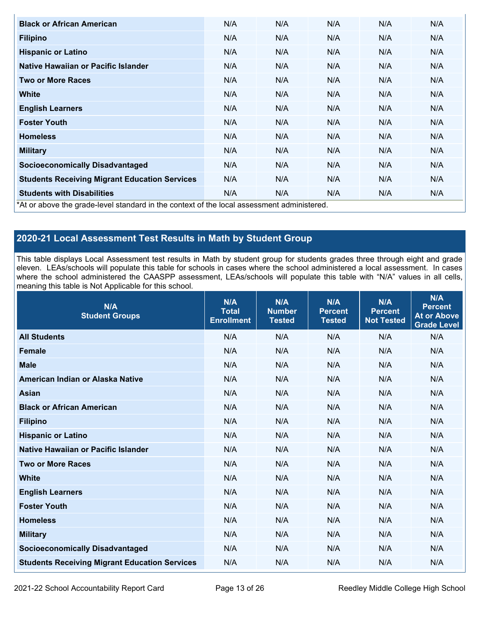| <b>Black or African American</b>                                                           | N/A | N/A | N/A | N/A | N/A |  |  |  |
|--------------------------------------------------------------------------------------------|-----|-----|-----|-----|-----|--|--|--|
| <b>Filipino</b>                                                                            | N/A | N/A | N/A | N/A | N/A |  |  |  |
| <b>Hispanic or Latino</b>                                                                  | N/A | N/A | N/A | N/A | N/A |  |  |  |
| Native Hawaiian or Pacific Islander                                                        | N/A | N/A | N/A | N/A | N/A |  |  |  |
| <b>Two or More Races</b>                                                                   | N/A | N/A | N/A | N/A | N/A |  |  |  |
| <b>White</b>                                                                               | N/A | N/A | N/A | N/A | N/A |  |  |  |
| <b>English Learners</b>                                                                    | N/A | N/A | N/A | N/A | N/A |  |  |  |
| <b>Foster Youth</b>                                                                        | N/A | N/A | N/A | N/A | N/A |  |  |  |
| <b>Homeless</b>                                                                            | N/A | N/A | N/A | N/A | N/A |  |  |  |
| <b>Military</b>                                                                            | N/A | N/A | N/A | N/A | N/A |  |  |  |
| <b>Socioeconomically Disadvantaged</b>                                                     | N/A | N/A | N/A | N/A | N/A |  |  |  |
| <b>Students Receiving Migrant Education Services</b>                                       | N/A | N/A | N/A | N/A | N/A |  |  |  |
| <b>Students with Disabilities</b>                                                          | N/A | N/A | N/A | N/A | N/A |  |  |  |
| *At or above the grade-level standard in the context of the local assessment administered. |     |     |     |     |     |  |  |  |

## **2020-21 Local Assessment Test Results in Math by Student Group**

This table displays Local Assessment test results in Math by student group for students grades three through eight and grade eleven. LEAs/schools will populate this table for schools in cases where the school administered a local assessment. In cases where the school administered the CAASPP assessment, LEAs/schools will populate this table with "N/A" values in all cells, meaning this table is Not Applicable for this school.

| N/A<br><b>Student Groups</b>                         | N/A<br><b>Total</b><br><b>Enrollment</b> | N/A<br><b>Number</b><br><b>Tested</b> | N/A<br><b>Percent</b><br><b>Tested</b> | N/A<br><b>Percent</b><br><b>Not Tested</b> | N/A<br><b>Percent</b><br><b>At or Above</b><br><b>Grade Level</b> |
|------------------------------------------------------|------------------------------------------|---------------------------------------|----------------------------------------|--------------------------------------------|-------------------------------------------------------------------|
| <b>All Students</b>                                  | N/A                                      | N/A                                   | N/A                                    | N/A                                        | N/A                                                               |
| <b>Female</b>                                        | N/A                                      | N/A                                   | N/A                                    | N/A                                        | N/A                                                               |
| <b>Male</b>                                          | N/A                                      | N/A                                   | N/A                                    | N/A                                        | N/A                                                               |
| American Indian or Alaska Native                     | N/A                                      | N/A                                   | N/A                                    | N/A                                        | N/A                                                               |
| <b>Asian</b>                                         | N/A                                      | N/A                                   | N/A                                    | N/A                                        | N/A                                                               |
| <b>Black or African American</b>                     | N/A                                      | N/A                                   | N/A                                    | N/A                                        | N/A                                                               |
| <b>Filipino</b>                                      | N/A                                      | N/A                                   | N/A                                    | N/A                                        | N/A                                                               |
| <b>Hispanic or Latino</b>                            | N/A                                      | N/A                                   | N/A                                    | N/A                                        | N/A                                                               |
| Native Hawaiian or Pacific Islander                  | N/A                                      | N/A                                   | N/A                                    | N/A                                        | N/A                                                               |
| <b>Two or More Races</b>                             | N/A                                      | N/A                                   | N/A                                    | N/A                                        | N/A                                                               |
| <b>White</b>                                         | N/A                                      | N/A                                   | N/A                                    | N/A                                        | N/A                                                               |
| <b>English Learners</b>                              | N/A                                      | N/A                                   | N/A                                    | N/A                                        | N/A                                                               |
| <b>Foster Youth</b>                                  | N/A                                      | N/A                                   | N/A                                    | N/A                                        | N/A                                                               |
| <b>Homeless</b>                                      | N/A                                      | N/A                                   | N/A                                    | N/A                                        | N/A                                                               |
| <b>Military</b>                                      | N/A                                      | N/A                                   | N/A                                    | N/A                                        | N/A                                                               |
| <b>Socioeconomically Disadvantaged</b>               | N/A                                      | N/A                                   | N/A                                    | N/A                                        | N/A                                                               |
| <b>Students Receiving Migrant Education Services</b> | N/A                                      | N/A                                   | N/A                                    | N/A                                        | N/A                                                               |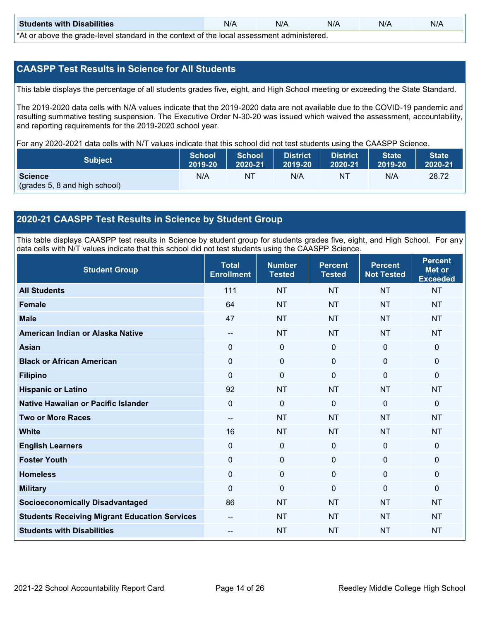| <b>Students with Disabilities</b>                                                           | N/A | N/A | N/A | N/A | N/A |  |
|---------------------------------------------------------------------------------------------|-----|-----|-----|-----|-----|--|
| *At as above the escale level standard in the context of the local accordinate admissioned. |     |     |     |     |     |  |

\*At or above the grade-level standard in the context of the local assessment administered.

### **CAASPP Test Results in Science for All Students**

This table displays the percentage of all students grades five, eight, and High School meeting or exceeding the State Standard.

The 2019-2020 data cells with N/A values indicate that the 2019-2020 data are not available due to the COVID-19 pandemic and resulting summative testing suspension. The Executive Order N-30-20 was issued which waived the assessment, accountability, and reporting requirements for the 2019-2020 school year.

For any 2020-2021 data cells with N/T values indicate that this school did not test students using the CAASPP Science.

| <b>Subject</b>                                  | <b>School</b> | <b>School</b> | <b>District</b> | District | <b>State</b> | <b>State</b> |
|-------------------------------------------------|---------------|---------------|-----------------|----------|--------------|--------------|
|                                                 | 2019-20       | 2020-21       | 2019-20         | 2020-21  | 2019-20      | 2020-21      |
| <b>Science</b><br>(grades 5, 8 and high school) | N/A           | ΝT            | N/A             | NT       | N/A          | 28.72        |

### **2020-21 CAASPP Test Results in Science by Student Group**

This table displays CAASPP test results in Science by student group for students grades five, eight, and High School. For any data cells with N/T values indicate that this school did not test students using the CAASPP Science.

| <b>Student Group</b>                                 | <b>Total</b><br><b>Enrollment</b> | <b>Number</b><br><b>Tested</b> | <b>Percent</b><br><b>Tested</b> | <b>Percent</b><br><b>Not Tested</b> | <b>Percent</b><br><b>Met or</b><br><b>Exceeded</b> |
|------------------------------------------------------|-----------------------------------|--------------------------------|---------------------------------|-------------------------------------|----------------------------------------------------|
| <b>All Students</b>                                  | 111                               | <b>NT</b>                      | <b>NT</b>                       | <b>NT</b>                           | <b>NT</b>                                          |
| Female                                               | 64                                | <b>NT</b>                      | <b>NT</b>                       | <b>NT</b>                           | <b>NT</b>                                          |
| <b>Male</b>                                          | 47                                | <b>NT</b>                      | <b>NT</b>                       | <b>NT</b>                           | <b>NT</b>                                          |
| American Indian or Alaska Native                     | $\sim$                            | <b>NT</b>                      | <b>NT</b>                       | <b>NT</b>                           | <b>NT</b>                                          |
| <b>Asian</b>                                         | $\mathbf 0$                       | $\pmb{0}$                      | $\pmb{0}$                       | $\mathbf 0$                         | $\mathbf{0}$                                       |
| <b>Black or African American</b>                     | $\pmb{0}$                         | $\pmb{0}$                      | $\mathbf 0$                     | $\mathbf 0$                         | $\mathbf 0$                                        |
| <b>Filipino</b>                                      | $\Omega$                          | $\mathbf 0$                    | $\mathbf{0}$                    | $\Omega$                            | $\mathbf 0$                                        |
| <b>Hispanic or Latino</b>                            | 92                                | <b>NT</b>                      | <b>NT</b>                       | <b>NT</b>                           | <b>NT</b>                                          |
| Native Hawaiian or Pacific Islander                  | 0                                 | $\mathbf 0$                    | $\mathbf{0}$                    | $\mathbf 0$                         | $\mathbf{0}$                                       |
| <b>Two or More Races</b>                             | $\overline{\phantom{a}}$          | <b>NT</b>                      | <b>NT</b>                       | <b>NT</b>                           | <b>NT</b>                                          |
| <b>White</b>                                         | 16                                | <b>NT</b>                      | <b>NT</b>                       | <b>NT</b>                           | <b>NT</b>                                          |
| <b>English Learners</b>                              | $\mathbf 0$                       | $\mathbf 0$                    | $\mathbf 0$                     | $\mathbf 0$                         | $\mathbf{0}$                                       |
| <b>Foster Youth</b>                                  | $\pmb{0}$                         | $\pmb{0}$                      | $\pmb{0}$                       | $\mathbf 0$                         | $\mathbf 0$                                        |
| <b>Homeless</b>                                      | $\mathbf 0$                       | $\mathbf{0}$                   | $\mathbf 0$                     | $\mathbf 0$                         | $\mathbf 0$                                        |
| <b>Military</b>                                      | 0                                 | $\mathbf 0$                    | $\Omega$                        | $\mathbf{0}$                        | $\mathbf{0}$                                       |
| <b>Socioeconomically Disadvantaged</b>               | 86                                | <b>NT</b>                      | <b>NT</b>                       | <b>NT</b>                           | <b>NT</b>                                          |
| <b>Students Receiving Migrant Education Services</b> |                                   | <b>NT</b>                      | <b>NT</b>                       | <b>NT</b>                           | <b>NT</b>                                          |
| <b>Students with Disabilities</b>                    | --                                | <b>NT</b>                      | <b>NT</b>                       | <b>NT</b>                           | <b>NT</b>                                          |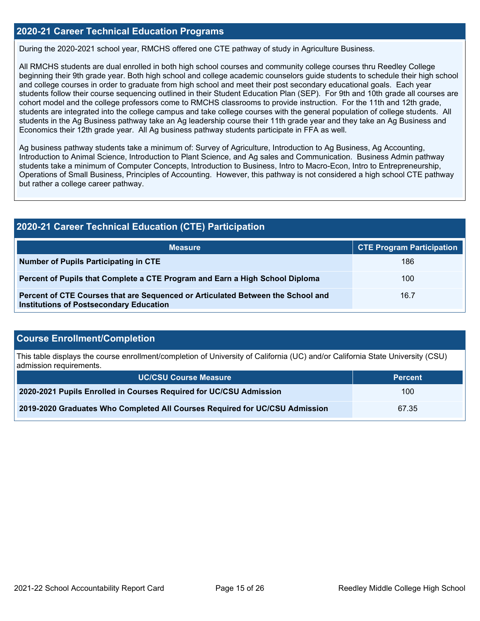### **2020-21 Career Technical Education Programs**

During the 2020-2021 school year, RMCHS offered one CTE pathway of study in Agriculture Business.

All RMCHS students are dual enrolled in both high school courses and community college courses thru Reedley College beginning their 9th grade year. Both high school and college academic counselors guide students to schedule their high school and college courses in order to graduate from high school and meet their post secondary educational goals. Each year students follow their course sequencing outlined in their Student Education Plan (SEP). For 9th and 10th grade all courses are cohort model and the college professors come to RMCHS classrooms to provide instruction. For the 11th and 12th grade, students are integrated into the college campus and take college courses with the general population of college students. All students in the Ag Business pathway take an Ag leadership course their 11th grade year and they take an Ag Business and Economics their 12th grade year. All Ag business pathway students participate in FFA as well.

Ag business pathway students take a minimum of: Survey of Agriculture, Introduction to Ag Business, Ag Accounting, Introduction to Animal Science, Introduction to Plant Science, and Ag sales and Communication. Business Admin pathway students take a minimum of Computer Concepts, Introduction to Business, Intro to Macro-Econ, Intro to Entrepreneurship, Operations of Small Business, Principles of Accounting. However, this pathway is not considered a high school CTE pathway but rather a college career pathway.

## **2020-21 Career Technical Education (CTE) Participation**

| <b>Measure</b>                                                                                                                    | <b>CTE Program Participation</b> |
|-----------------------------------------------------------------------------------------------------------------------------------|----------------------------------|
| Number of Pupils Participating in CTE                                                                                             | 186                              |
| Percent of Pupils that Complete a CTE Program and Earn a High School Diploma                                                      | 100                              |
| Percent of CTE Courses that are Sequenced or Articulated Between the School and<br><b>Institutions of Postsecondary Education</b> | 16.7                             |

### **Course Enrollment/Completion**

This table displays the course enrollment/completion of University of California (UC) and/or California State University (CSU) admission requirements.

| <b>UC/CSU Course Measure</b>                                                | <b>Percent</b>   |
|-----------------------------------------------------------------------------|------------------|
| 2020-2021 Pupils Enrolled in Courses Required for UC/CSU Admission          | 100 <sup>°</sup> |
| 2019-2020 Graduates Who Completed All Courses Required for UC/CSU Admission | 67.35            |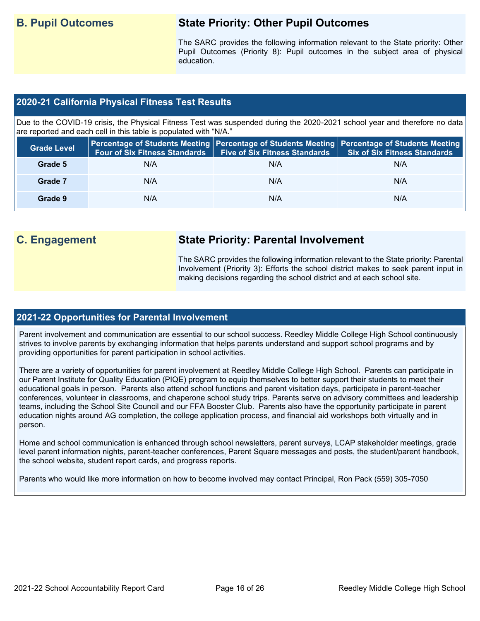## **B. Pupil Outcomes State Priority: Other Pupil Outcomes**

The SARC provides the following information relevant to the State priority: Other Pupil Outcomes (Priority 8): Pupil outcomes in the subject area of physical education.

### **2020-21 California Physical Fitness Test Results**

Due to the COVID-19 crisis, the Physical Fitness Test was suspended during the 2020-2021 school year and therefore no data are reported and each cell in this table is populated with "N/A."

| <b>Grade Level</b> | <b>Four of Six Fitness Standards</b> | <b>Five of Six Fitness Standards</b> | Percentage of Students Meeting   Percentage of Students Meeting   Percentage of Students Meeting  <br><b>Six of Six Fitness Standards</b> |
|--------------------|--------------------------------------|--------------------------------------|-------------------------------------------------------------------------------------------------------------------------------------------|
| Grade 5            | N/A                                  | N/A                                  | N/A                                                                                                                                       |
| Grade 7            | N/A                                  | N/A                                  | N/A                                                                                                                                       |
| Grade 9            | N/A                                  | N/A                                  | N/A                                                                                                                                       |

## **C. Engagement State Priority: Parental Involvement**

The SARC provides the following information relevant to the State priority: Parental Involvement (Priority 3): Efforts the school district makes to seek parent input in making decisions regarding the school district and at each school site.

### **2021-22 Opportunities for Parental Involvement**

Parent involvement and communication are essential to our school success. Reedley Middle College High School continuously strives to involve parents by exchanging information that helps parents understand and support school programs and by providing opportunities for parent participation in school activities.

There are a variety of opportunities for parent involvement at Reedley Middle College High School. Parents can participate in our Parent Institute for Quality Education (PIQE) program to equip themselves to better support their students to meet their educational goals in person. Parents also attend school functions and parent visitation days, participate in parent-teacher conferences, volunteer in classrooms, and chaperone school study trips. Parents serve on advisory committees and leadership teams, including the School Site Council and our FFA Booster Club. Parents also have the opportunity participate in parent education nights around AG completion, the college application process, and financial aid workshops both virtually and in person.

Home and school communication is enhanced through school newsletters, parent surveys, LCAP stakeholder meetings, grade level parent information nights, parent-teacher conferences, Parent Square messages and posts, the student/parent handbook, the school website, student report cards, and progress reports.

Parents who would like more information on how to become involved may contact Principal, Ron Pack (559) 305-7050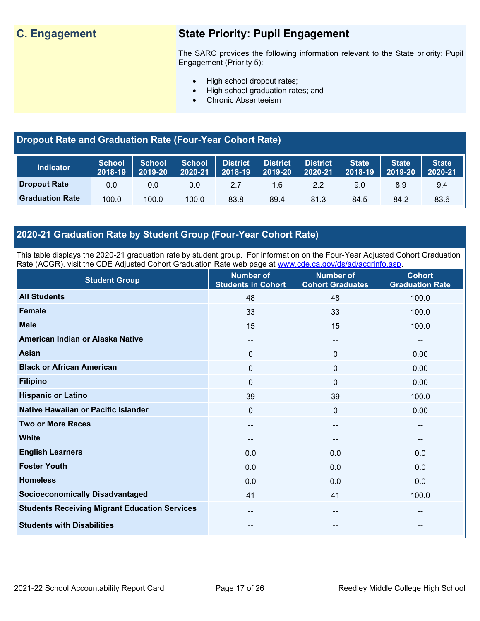## **C. Engagement State Priority: Pupil Engagement**

The SARC provides the following information relevant to the State priority: Pupil Engagement (Priority 5):

- High school dropout rates;
- High school graduation rates; and
- Chronic Absenteeism

## **Dropout Rate and Graduation Rate (Four-Year Cohort Rate)**

| <b>Indicator</b>       | <b>School</b><br>2018-19 | <b>School</b><br>2019-20 | <b>School</b><br>2020-21 | <b>District</b><br>$72018 - 19$ | District<br>2019-20 | <b>District</b><br>2020-21 | <b>State</b><br>2018-19 | <b>State</b><br>2019-20 | <b>State</b><br>$\sqrt{2020-21}$ |
|------------------------|--------------------------|--------------------------|--------------------------|---------------------------------|---------------------|----------------------------|-------------------------|-------------------------|----------------------------------|
| <b>Dropout Rate</b>    | 0.0                      | 0.0                      | 0.0                      | 2.7                             | 1.6                 | 2.2                        | 9.0                     | 8.9                     | 9.4                              |
| <b>Graduation Rate</b> | 100.0                    | 100.0                    | 100.0                    | 83.8                            | 89.4                | 81.3                       | 84.5                    | 84.2                    | 83.6                             |

## **2020-21 Graduation Rate by Student Group (Four-Year Cohort Rate)**

This table displays the 2020-21 graduation rate by student group. For information on the Four-Year Adjusted Cohort Graduation Rate (ACGR), visit the CDE Adjusted Cohort Graduation Rate web page at [www.cde.ca.gov/ds/ad/acgrinfo.asp.](http://www.cde.ca.gov/ds/ad/acgrinfo.asp)

| <b>Student Group</b>                                 | <b>Number of</b><br><b>Students in Cohort</b> | <b>Number of</b><br><b>Cohort Graduates</b> | <b>Cohort</b><br><b>Graduation Rate</b> |
|------------------------------------------------------|-----------------------------------------------|---------------------------------------------|-----------------------------------------|
| <b>All Students</b>                                  | 48                                            | 48                                          | 100.0                                   |
| <b>Female</b>                                        | 33                                            | 33                                          | 100.0                                   |
| <b>Male</b>                                          | 15                                            | 15                                          | 100.0                                   |
| American Indian or Alaska Native                     | $\overline{\phantom{a}}$                      | --                                          | $\overline{a}$                          |
| <b>Asian</b>                                         | 0                                             | $\mathbf 0$                                 | 0.00                                    |
| <b>Black or African American</b>                     | 0                                             | $\mathbf 0$                                 | 0.00                                    |
| <b>Filipino</b>                                      | $\Omega$                                      | $\mathbf{0}$                                | 0.00                                    |
| <b>Hispanic or Latino</b>                            | 39                                            | 39                                          | 100.0                                   |
| Native Hawaiian or Pacific Islander                  | 0                                             | $\mathbf 0$                                 | 0.00                                    |
| <b>Two or More Races</b>                             | $\overline{\phantom{a}}$                      | --                                          | $\overline{\phantom{a}}$                |
| <b>White</b>                                         | $\overline{\phantom{a}}$                      | --                                          | $\overline{\phantom{m}}$                |
| <b>English Learners</b>                              | 0.0                                           | 0.0                                         | 0.0                                     |
| <b>Foster Youth</b>                                  | 0.0                                           | 0.0                                         | 0.0                                     |
| <b>Homeless</b>                                      | 0.0                                           | 0.0                                         | 0.0                                     |
| <b>Socioeconomically Disadvantaged</b>               | 41                                            | 41                                          | 100.0                                   |
| <b>Students Receiving Migrant Education Services</b> | --                                            | --                                          | --                                      |
| <b>Students with Disabilities</b>                    | --                                            | --                                          | --                                      |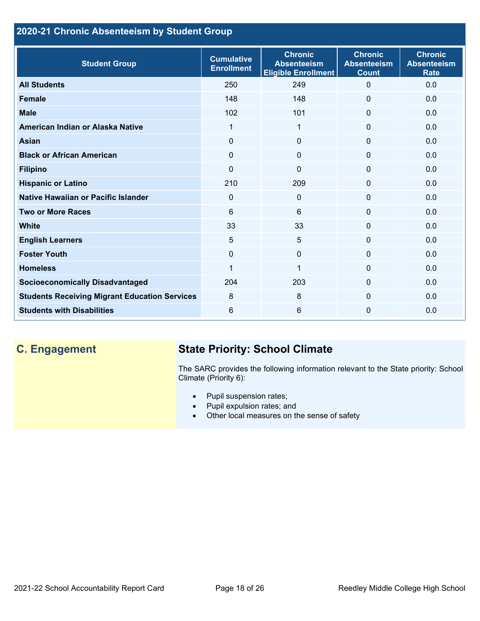## **2020-21 Chronic Absenteeism by Student Group**

| <b>Student Group</b>                                 | <b>Cumulative</b><br><b>Enrollment</b> | <b>Chronic</b><br><b>Absenteeism</b><br><b>Eligible Enrollment</b> | <b>Chronic</b><br><b>Absenteeism</b><br><b>Count</b> | <b>Chronic</b><br><b>Absenteeism</b><br><b>Rate</b> |
|------------------------------------------------------|----------------------------------------|--------------------------------------------------------------------|------------------------------------------------------|-----------------------------------------------------|
| <b>All Students</b>                                  | 250                                    | 249                                                                | $\Omega$                                             | 0.0                                                 |
| <b>Female</b>                                        | 148                                    | 148                                                                | $\Omega$                                             | 0.0                                                 |
| <b>Male</b>                                          | 102                                    | 101                                                                | $\mathbf{0}$                                         | 0.0                                                 |
| American Indian or Alaska Native                     | 1                                      | 1                                                                  | $\mathbf{0}$                                         | 0.0                                                 |
| <b>Asian</b>                                         | 0                                      | 0                                                                  | $\mathbf{0}$                                         | 0.0                                                 |
| <b>Black or African American</b>                     | $\mathbf 0$                            | $\mathbf 0$                                                        | $\mathbf 0$                                          | 0.0                                                 |
| <b>Filipino</b>                                      | $\mathbf{0}$                           | $\Omega$                                                           | $\mathbf{0}$                                         | 0.0                                                 |
| <b>Hispanic or Latino</b>                            | 210                                    | 209                                                                | 0                                                    | 0.0                                                 |
| <b>Native Hawaiian or Pacific Islander</b>           | $\mathbf 0$                            | 0                                                                  | $\mathbf 0$                                          | 0.0                                                 |
| <b>Two or More Races</b>                             | 6                                      | 6                                                                  | $\mathbf{0}$                                         | 0.0                                                 |
| <b>White</b>                                         | 33                                     | 33                                                                 | $\Omega$                                             | 0.0                                                 |
| <b>English Learners</b>                              | 5                                      | 5                                                                  | $\Omega$                                             | 0.0                                                 |
| <b>Foster Youth</b>                                  | $\Omega$                               | $\Omega$                                                           | $\Omega$                                             | 0.0                                                 |
| <b>Homeless</b>                                      | 1                                      |                                                                    | $\Omega$                                             | 0.0                                                 |
| <b>Socioeconomically Disadvantaged</b>               | 204                                    | 203                                                                | $\Omega$                                             | 0.0                                                 |
| <b>Students Receiving Migrant Education Services</b> | 8                                      | 8                                                                  | $\Omega$                                             | 0.0                                                 |
| <b>Students with Disabilities</b>                    | 6                                      | 6                                                                  | $\Omega$                                             | 0.0                                                 |

## **C. Engagement State Priority: School Climate**

The SARC provides the following information relevant to the State priority: School Climate (Priority 6):

- Pupil suspension rates;
- Pupil expulsion rates; and
- Other local measures on the sense of safety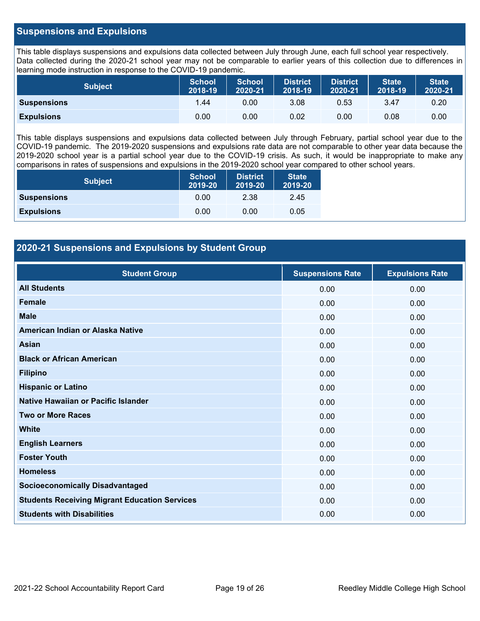### **Suspensions and Expulsions**

This table displays suspensions and expulsions data collected between July through June, each full school year respectively. Data collected during the 2020-21 school year may not be comparable to earlier years of this collection due to differences in learning mode instruction in response to the COVID-19 pandemic.

| <b>Subject</b>     | <b>School</b><br>2018-19 | <b>School</b><br>2020-21 | <b>District</b><br>2018-19 | <b>District</b><br>2020-21 | <b>State</b><br>2018-19 | <b>State</b><br>2020-21 |
|--------------------|--------------------------|--------------------------|----------------------------|----------------------------|-------------------------|-------------------------|
| <b>Suspensions</b> | 1.44                     | 0.00                     | 3.08                       | 0.53                       | 3.47                    | 0.20                    |
| <b>Expulsions</b>  | 0.00                     | 0.00                     | 0.02                       | 0.00                       | 0.08                    | 0.00                    |

This table displays suspensions and expulsions data collected between July through February, partial school year due to the COVID-19 pandemic. The 2019-2020 suspensions and expulsions rate data are not comparable to other year data because the 2019-2020 school year is a partial school year due to the COVID-19 crisis. As such, it would be inappropriate to make any comparisons in rates of suspensions and expulsions in the 2019-2020 school year compared to other school years.

| <b>Subject</b>     | School<br>2019-20 | <b>District</b><br>2019-20 | <b>State</b><br>2019-20 |
|--------------------|-------------------|----------------------------|-------------------------|
| <b>Suspensions</b> | 0.00              | 2.38                       | 2.45                    |
| <b>Expulsions</b>  | 0.00              | 0.00                       | 0.05                    |

## **2020-21 Suspensions and Expulsions by Student Group**

| <b>Student Group</b>                                 | <b>Suspensions Rate</b> | <b>Expulsions Rate</b> |
|------------------------------------------------------|-------------------------|------------------------|
| <b>All Students</b>                                  | 0.00                    | 0.00                   |
| <b>Female</b>                                        | 0.00                    | 0.00                   |
| <b>Male</b>                                          | 0.00                    | 0.00                   |
| American Indian or Alaska Native                     | 0.00                    | 0.00                   |
| <b>Asian</b>                                         | 0.00                    | 0.00                   |
| <b>Black or African American</b>                     | 0.00                    | 0.00                   |
| <b>Filipino</b>                                      | 0.00                    | 0.00                   |
| <b>Hispanic or Latino</b>                            | 0.00                    | 0.00                   |
| Native Hawaiian or Pacific Islander                  | 0.00                    | 0.00                   |
| <b>Two or More Races</b>                             | 0.00                    | 0.00                   |
| <b>White</b>                                         | 0.00                    | 0.00                   |
| <b>English Learners</b>                              | 0.00                    | 0.00                   |
| <b>Foster Youth</b>                                  | 0.00                    | 0.00                   |
| <b>Homeless</b>                                      | 0.00                    | 0.00                   |
| <b>Socioeconomically Disadvantaged</b>               | 0.00                    | 0.00                   |
| <b>Students Receiving Migrant Education Services</b> | 0.00                    | 0.00                   |
| <b>Students with Disabilities</b>                    | 0.00                    | 0.00                   |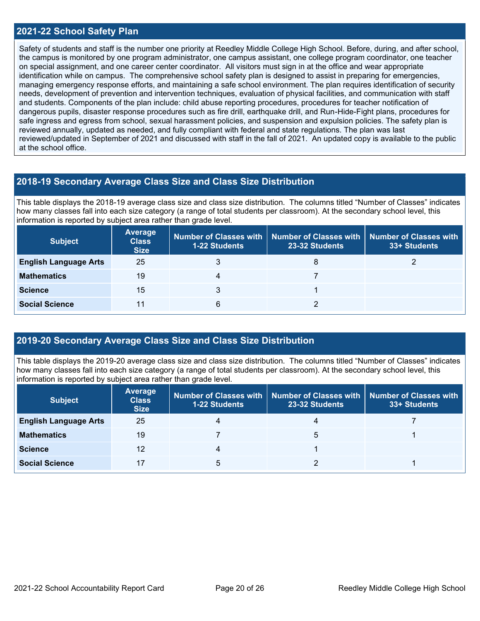### **2021-22 School Safety Plan**

Safety of students and staff is the number one priority at Reedley Middle College High School. Before, during, and after school, the campus is monitored by one program administrator, one campus assistant, one college program coordinator, one teacher on special assignment, and one career center coordinator. All visitors must sign in at the office and wear appropriate identification while on campus. The comprehensive school safety plan is designed to assist in preparing for emergencies, managing emergency response efforts, and maintaining a safe school environment. The plan requires identification of security needs, development of prevention and intervention techniques, evaluation of physical facilities, and communication with staff and students. Components of the plan include: child abuse reporting procedures, procedures for teacher notification of dangerous pupils, disaster response procedures such as fire drill, earthquake drill, and Run-Hide-Fight plans, procedures for safe ingress and egress from school, sexual harassment policies, and suspension and expulsion policies. The safety plan is reviewed annually, updated as needed, and fully compliant with federal and state regulations. The plan was last reviewed/updated in September of 2021 and discussed with staff in the fall of 2021. An updated copy is available to the public at the school office.

### **2018-19 Secondary Average Class Size and Class Size Distribution**

This table displays the 2018-19 average class size and class size distribution. The columns titled "Number of Classes" indicates how many classes fall into each size category (a range of total students per classroom). At the secondary school level, this information is reported by subject area rather than grade level.

| <b>Subject</b>               | Average<br><b>Class</b><br><b>Size</b> | <b>1-22 Students</b> | Number of Classes with   Number of Classes with<br>23-32 Students | Number of Classes with<br>33+ Students |
|------------------------------|----------------------------------------|----------------------|-------------------------------------------------------------------|----------------------------------------|
| <b>English Language Arts</b> | 25                                     |                      | 8                                                                 |                                        |
| <b>Mathematics</b>           | 19                                     | 4                    |                                                                   |                                        |
| <b>Science</b>               | 15                                     |                      |                                                                   |                                        |
| <b>Social Science</b>        |                                        | 6                    |                                                                   |                                        |

### **2019-20 Secondary Average Class Size and Class Size Distribution**

This table displays the 2019-20 average class size and class size distribution. The columns titled "Number of Classes" indicates how many classes fall into each size category (a range of total students per classroom). At the secondary school level, this information is reported by subject area rather than grade level.

| <b>Subject</b>               | Average<br><b>Class</b><br><b>Size</b> | 1-22 Students | Number of Classes with   Number of Classes with   Number of Classes with<br>23-32 Students | 33+ Students |
|------------------------------|----------------------------------------|---------------|--------------------------------------------------------------------------------------------|--------------|
| <b>English Language Arts</b> | 25                                     |               |                                                                                            |              |
| <b>Mathematics</b>           | 19                                     |               | 5                                                                                          |              |
| <b>Science</b>               | 12                                     | 4             |                                                                                            |              |
| <b>Social Science</b>        |                                        | 5             |                                                                                            |              |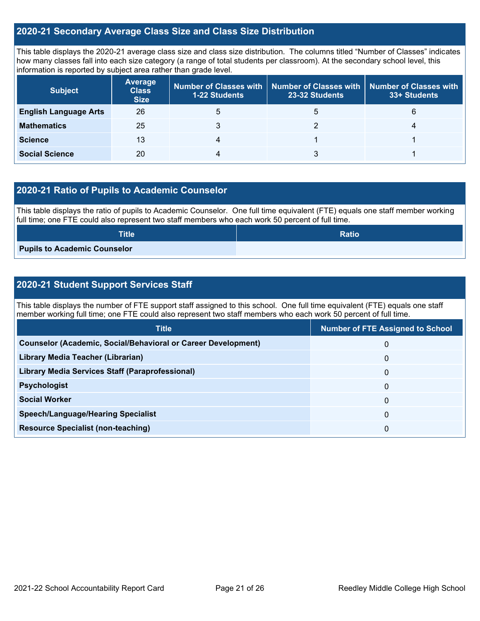### **2020-21 Secondary Average Class Size and Class Size Distribution**

This table displays the 2020-21 average class size and class size distribution. The columns titled "Number of Classes" indicates how many classes fall into each size category (a range of total students per classroom). At the secondary school level, this information is reported by subject area rather than grade level.

| <b>Subject</b>               | <b>Average</b><br><b>Class</b><br><b>Size</b> | <b>1-22 Students</b> | Number of Classes with   Number of Classes with  <br>23-32 Students | Number of Classes with<br>33+ Students |
|------------------------------|-----------------------------------------------|----------------------|---------------------------------------------------------------------|----------------------------------------|
| <b>English Language Arts</b> | 26                                            | 5                    | b                                                                   | 6                                      |
| <b>Mathematics</b>           | 25                                            |                      |                                                                     |                                        |
| <b>Science</b>               | 13                                            |                      |                                                                     |                                        |
| <b>Social Science</b>        | 20                                            |                      |                                                                     |                                        |

### **2020-21 Ratio of Pupils to Academic Counselor**

This table displays the ratio of pupils to Academic Counselor. One full time equivalent (FTE) equals one staff member working full time; one FTE could also represent two staff members who each work 50 percent of full time.

| <b>Title</b>                 | <b>Ratio</b> |
|------------------------------|--------------|
| Pupils to Academic Counselor |              |

## **2020-21 Student Support Services Staff**

This table displays the number of FTE support staff assigned to this school. One full time equivalent (FTE) equals one staff member working full time; one FTE could also represent two staff members who each work 50 percent of full time.

| <b>Title</b>                                                         | <b>Number of FTE Assigned to School</b> |
|----------------------------------------------------------------------|-----------------------------------------|
| <b>Counselor (Academic, Social/Behavioral or Career Development)</b> | 0                                       |
| Library Media Teacher (Librarian)                                    | $\mathbf{0}$                            |
| Library Media Services Staff (Paraprofessional)                      | $\mathbf{0}$                            |
| <b>Psychologist</b>                                                  | $\mathbf{0}$                            |
| <b>Social Worker</b>                                                 | 0                                       |
| <b>Speech/Language/Hearing Specialist</b>                            | $\mathbf{0}$                            |
| <b>Resource Specialist (non-teaching)</b>                            | 0                                       |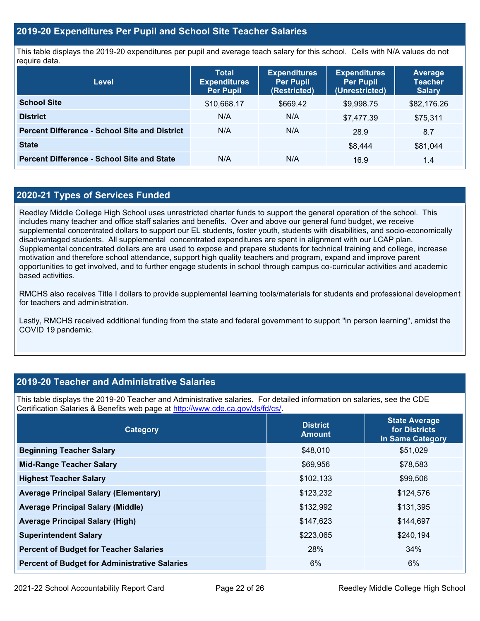### **2019-20 Expenditures Per Pupil and School Site Teacher Salaries**

This table displays the 2019-20 expenditures per pupil and average teach salary for this school. Cells with N/A values do not require data.

| <b>Level</b>                                         | <b>Total</b><br><b>Expenditures</b><br><b>Per Pupil</b> | <b>Expenditures</b><br><b>Per Pupil</b><br>(Restricted) | <b>Expenditures</b><br><b>Per Pupil</b><br>(Unrestricted) | <b>Average</b><br><b>Teacher</b><br><b>Salary</b> |
|------------------------------------------------------|---------------------------------------------------------|---------------------------------------------------------|-----------------------------------------------------------|---------------------------------------------------|
| <b>School Site</b>                                   | \$10,668.17                                             | \$669.42                                                | \$9,998.75                                                | \$82,176.26                                       |
| <b>District</b>                                      | N/A                                                     | N/A                                                     | \$7,477.39                                                | \$75,311                                          |
| <b>Percent Difference - School Site and District</b> | N/A                                                     | N/A                                                     | 28.9                                                      | 8.7                                               |
| <b>State</b>                                         |                                                         |                                                         | \$8,444                                                   | \$81,044                                          |
| <b>Percent Difference - School Site and State</b>    | N/A                                                     | N/A                                                     | 16.9                                                      | 1.4                                               |

## **2020-21 Types of Services Funded**

Reedley Middle College High School uses unrestricted charter funds to support the general operation of the school. This includes many teacher and office staff salaries and benefits. Over and above our general fund budget, we receive supplemental concentrated dollars to support our EL students, foster youth, students with disabilities, and socio-economically disadvantaged students. All supplemental concentrated expenditures are spent in alignment with our LCAP plan. Supplemental concentrated dollars are are used to expose and prepare students for technical training and college, increase motivation and therefore school attendance, support high quality teachers and program, expand and improve parent opportunities to get involved, and to further engage students in school through campus co-curricular activities and academic based activities.

RMCHS also receives Title I dollars to provide supplemental learning tools/materials for students and professional development for teachers and administration.

Lastly, RMCHS received additional funding from the state and federal government to support "in person learning", amidst the COVID 19 pandemic.

### **2019-20 Teacher and Administrative Salaries**

This table displays the 2019-20 Teacher and Administrative salaries. For detailed information on salaries, see the CDE Certification Salaries & Benefits web page at [http://www.cde.ca.gov/ds/fd/cs/.](http://www.cde.ca.gov/ds/fd/cs/)

| Category                                             | <b>District</b><br><b>Amount</b> | <b>State Average</b><br>for Districts<br>in Same Category |
|------------------------------------------------------|----------------------------------|-----------------------------------------------------------|
| <b>Beginning Teacher Salary</b>                      | \$48,010                         | \$51,029                                                  |
| <b>Mid-Range Teacher Salary</b>                      | \$69,956                         | \$78,583                                                  |
| <b>Highest Teacher Salary</b>                        | \$102,133                        | \$99,506                                                  |
| <b>Average Principal Salary (Elementary)</b>         | \$123,232                        | \$124,576                                                 |
| <b>Average Principal Salary (Middle)</b>             | \$132,992                        | \$131,395                                                 |
| <b>Average Principal Salary (High)</b>               | \$147,623                        | \$144,697                                                 |
| <b>Superintendent Salary</b>                         | \$223,065                        | \$240,194                                                 |
| <b>Percent of Budget for Teacher Salaries</b>        | 28%                              | 34%                                                       |
| <b>Percent of Budget for Administrative Salaries</b> | 6%                               | 6%                                                        |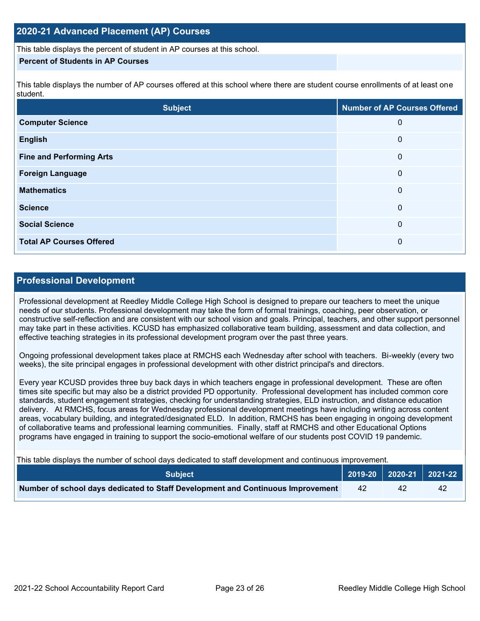This table displays the percent of student in AP courses at this school.

### **Percent of Students in AP Courses**

This table displays the number of AP courses offered at this school where there are student course enrollments of at least one student.

| <b>Subject</b>                  | <b>Number of AP Courses Offered</b> |
|---------------------------------|-------------------------------------|
| <b>Computer Science</b>         | 0                                   |
| <b>English</b>                  | 0                                   |
| <b>Fine and Performing Arts</b> | 0                                   |
| <b>Foreign Language</b>         | 0                                   |
| <b>Mathematics</b>              | 0                                   |
| <b>Science</b>                  | 0                                   |
| <b>Social Science</b>           | 0                                   |
| <b>Total AP Courses Offered</b> | 0                                   |

## **Professional Development**

Professional development at Reedley Middle College High School is designed to prepare our teachers to meet the unique needs of our students. Professional development may take the form of formal trainings, coaching, peer observation, or constructive self-reflection and are consistent with our school vision and goals. Principal, teachers, and other support personnel may take part in these activities. KCUSD has emphasized collaborative team building, assessment and data collection, and effective teaching strategies in its professional development program over the past three years.

Ongoing professional development takes place at RMCHS each Wednesday after school with teachers. Bi-weekly (every two weeks), the site principal engages in professional development with other district principal's and directors.

Every year KCUSD provides three buy back days in which teachers engage in professional development. These are often times site specific but may also be a district provided PD opportunity. Professional development has included common core standards, student engagement strategies, checking for understanding strategies, ELD instruction, and distance education delivery. At RMCHS, focus areas for Wednesday professional development meetings have including writing across content areas, vocabulary building, and integrated/designated ELD. In addition, RMCHS has been engaging in ongoing development of collaborative teams and professional learning communities. Finally, staff at RMCHS and other Educational Options programs have engaged in training to support the socio-emotional welfare of our students post COVID 19 pandemic.

This table displays the number of school days dedicated to staff development and continuous improvement.

| <b>Subiect</b> \                                                                |    |    | 2019-20   2020-21   2021-22 |
|---------------------------------------------------------------------------------|----|----|-----------------------------|
| Number of school days dedicated to Staff Development and Continuous Improvement | 42 | 42 | 42                          |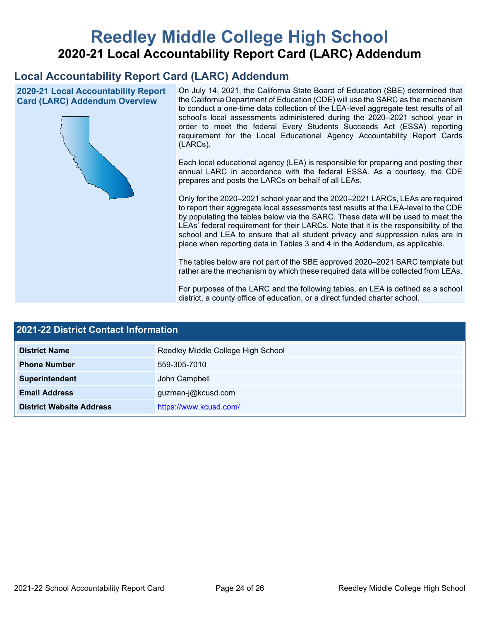# **Reedley Middle College High School 2020-21 Local Accountability Report Card (LARC) Addendum**

## **Local Accountability Report Card (LARC) Addendum**

**2020-21 Local Accountability Report Card (LARC) Addendum Overview**



On July 14, 2021, the California State Board of Education (SBE) determined that the California Department of Education (CDE) will use the SARC as the mechanism to conduct a one-time data collection of the LEA-level aggregate test results of all school's local assessments administered during the 2020–2021 school year in order to meet the federal Every Students Succeeds Act (ESSA) reporting requirement for the Local Educational Agency Accountability Report Cards (LARCs).

Each local educational agency (LEA) is responsible for preparing and posting their annual LARC in accordance with the federal ESSA. As a courtesy, the CDE prepares and posts the LARCs on behalf of all LEAs.

Only for the 2020–2021 school year and the 2020–2021 LARCs, LEAs are required to report their aggregate local assessments test results at the LEA-level to the CDE by populating the tables below via the SARC. These data will be used to meet the LEAs' federal requirement for their LARCs. Note that it is the responsibility of the school and LEA to ensure that all student privacy and suppression rules are in place when reporting data in Tables 3 and 4 in the Addendum, as applicable.

The tables below are not part of the SBE approved 2020–2021 SARC template but rather are the mechanism by which these required data will be collected from LEAs.

For purposes of the LARC and the following tables, an LEA is defined as a school district, a county office of education, or a direct funded charter school.

| <b>2021-22 District Contact Information</b> |                                    |  |  |  |
|---------------------------------------------|------------------------------------|--|--|--|
| <b>District Name</b>                        | Reedley Middle College High School |  |  |  |
| <b>Phone Number</b>                         | 559-305-7010                       |  |  |  |
| Superintendent                              | John Campbell                      |  |  |  |
| <b>Email Address</b>                        | guzman-j@kcusd.com                 |  |  |  |
| <b>District Website Address</b>             | https://www.kcusd.com/             |  |  |  |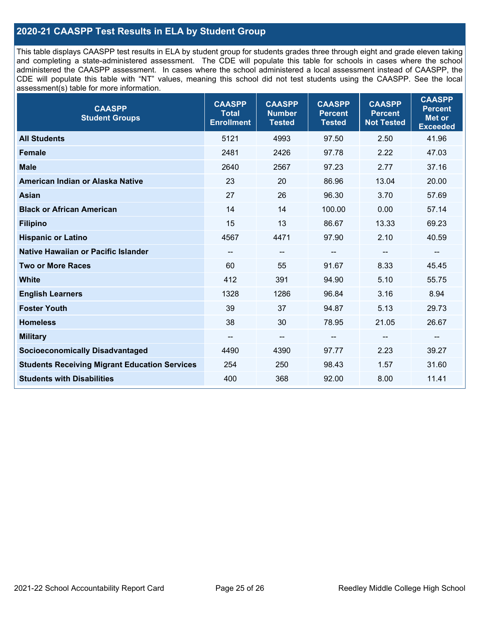## **2020-21 CAASPP Test Results in ELA by Student Group**

This table displays CAASPP test results in ELA by student group for students grades three through eight and grade eleven taking and completing a state-administered assessment. The CDE will populate this table for schools in cases where the school administered the CAASPP assessment. In cases where the school administered a local assessment instead of CAASPP, the CDE will populate this table with "NT" values, meaning this school did not test students using the CAASPP. See the local assessment(s) table for more information.

| <b>CAASPP</b><br><b>Student Groups</b>               | <b>CAASPP</b><br><b>Total</b><br><b>Enrollment</b> | <b>CAASPP</b><br><b>Number</b><br><b>Tested</b> | <b>CAASPP</b><br><b>Percent</b><br><b>Tested</b> | <b>CAASPP</b><br><b>Percent</b><br><b>Not Tested</b> | <b>CAASPP</b><br><b>Percent</b><br><b>Met or</b><br><b>Exceeded</b> |
|------------------------------------------------------|----------------------------------------------------|-------------------------------------------------|--------------------------------------------------|------------------------------------------------------|---------------------------------------------------------------------|
| <b>All Students</b>                                  | 5121                                               | 4993                                            | 97.50                                            | 2.50                                                 | 41.96                                                               |
| <b>Female</b>                                        | 2481                                               | 2426                                            | 97.78                                            | 2.22                                                 | 47.03                                                               |
| <b>Male</b>                                          | 2640                                               | 2567                                            | 97.23                                            | 2.77                                                 | 37.16                                                               |
| American Indian or Alaska Native                     | 23                                                 | 20                                              | 86.96                                            | 13.04                                                | 20.00                                                               |
| <b>Asian</b>                                         | 27                                                 | 26                                              | 96.30                                            | 3.70                                                 | 57.69                                                               |
| <b>Black or African American</b>                     | 14                                                 | 14                                              | 100.00                                           | 0.00                                                 | 57.14                                                               |
| <b>Filipino</b>                                      | 15                                                 | 13                                              | 86.67                                            | 13.33                                                | 69.23                                                               |
| <b>Hispanic or Latino</b>                            | 4567                                               | 4471                                            | 97.90                                            | 2.10                                                 | 40.59                                                               |
| Native Hawaiian or Pacific Islander                  | $\overline{\phantom{a}}$                           | $\overline{\phantom{m}}$                        | --                                               | $\overline{\phantom{a}}$                             | --                                                                  |
| <b>Two or More Races</b>                             | 60                                                 | 55                                              | 91.67                                            | 8.33                                                 | 45.45                                                               |
| <b>White</b>                                         | 412                                                | 391                                             | 94.90                                            | 5.10                                                 | 55.75                                                               |
| <b>English Learners</b>                              | 1328                                               | 1286                                            | 96.84                                            | 3.16                                                 | 8.94                                                                |
| <b>Foster Youth</b>                                  | 39                                                 | 37                                              | 94.87                                            | 5.13                                                 | 29.73                                                               |
| <b>Homeless</b>                                      | 38                                                 | 30                                              | 78.95                                            | 21.05                                                | 26.67                                                               |
| <b>Military</b>                                      | --                                                 | --                                              |                                                  | --                                                   | --                                                                  |
| <b>Socioeconomically Disadvantaged</b>               | 4490                                               | 4390                                            | 97.77                                            | 2.23                                                 | 39.27                                                               |
| <b>Students Receiving Migrant Education Services</b> | 254                                                | 250                                             | 98.43                                            | 1.57                                                 | 31.60                                                               |
| <b>Students with Disabilities</b>                    | 400                                                | 368                                             | 92.00                                            | 8.00                                                 | 11.41                                                               |